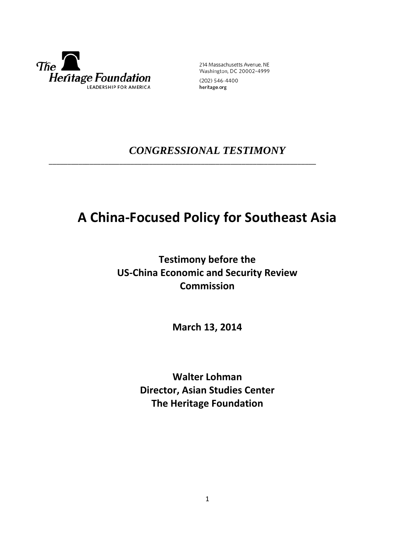

214 Massachusetts Avenue, NE Washington, DC 20002-4999 (202) 546-4400

heritage.org

# *CONGRESSIONAL TESTIMONY*

\_\_\_\_\_\_\_\_\_\_\_\_\_\_\_\_\_\_\_\_\_\_\_\_\_\_\_\_\_\_\_\_\_\_\_\_\_\_\_\_\_\_\_\_\_\_\_\_\_\_\_\_\_\_\_\_\_\_\_\_\_\_\_\_\_\_\_\_\_\_\_\_

# **A China-Focused Policy for Southeast Asia**

## **Testimony before the US-China Economic and Security Review Commission**

**March 13, 2014**

**Walter Lohman Director, Asian Studies Center The Heritage Foundation**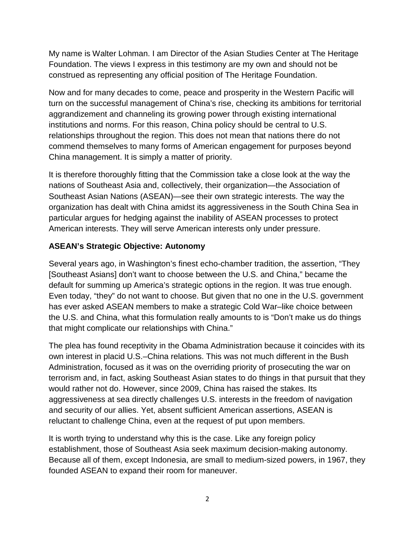My name is Walter Lohman. I am Director of the Asian Studies Center at The Heritage Foundation. The views I express in this testimony are my own and should not be construed as representing any official position of The Heritage Foundation.

Now and for many decades to come, peace and prosperity in the Western Pacific will turn on the successful management of China's rise, checking its ambitions for territorial aggrandizement and channeling its growing power through existing international institutions and norms. For this reason, China policy should be central to U.S. relationships throughout the region. This does not mean that nations there do not commend themselves to many forms of American engagement for purposes beyond China management. It is simply a matter of priority.

It is therefore thoroughly fitting that the Commission take a close look at the way the nations of Southeast Asia and, collectively, their organization—the Association of Southeast Asian Nations (ASEAN)—see their own strategic interests. The way the organization has dealt with China amidst its aggressiveness in the South China Sea in particular argues for hedging against the inability of ASEAN processes to protect American interests. They will serve American interests only under pressure.

## **ASEAN's Strategic Objective: Autonomy**

Several years ago, in Washington's finest echo-chamber tradition, the assertion, "They [Southeast Asians] don't want to choose between the U.S. and China," became the default for summing up America's strategic options in the region. It was true enough. Even today, "they" do not want to choose. But given that no one in the U.S. government has ever asked ASEAN members to make a strategic Cold War–like choice between the U.S. and China, what this formulation really amounts to is "Don't make us do things that might complicate our relationships with China."

The plea has found receptivity in the Obama Administration because it coincides with its own interest in placid U.S.–China relations. This was not much different in the Bush Administration, focused as it was on the overriding priority of prosecuting the war on terrorism and, in fact, asking Southeast Asian states to do things in that pursuit that they would rather not do. However, since 2009, China has raised the stakes. Its aggressiveness at sea directly challenges U.S. interests in the freedom of navigation and security of our allies. Yet, absent sufficient American assertions, ASEAN is reluctant to challenge China, even at the request of put upon members.

It is worth trying to understand why this is the case. Like any foreign policy establishment, those of Southeast Asia seek maximum decision-making autonomy. Because all of them, except Indonesia, are small to medium-sized powers, in 1967, they founded ASEAN to expand their room for maneuver.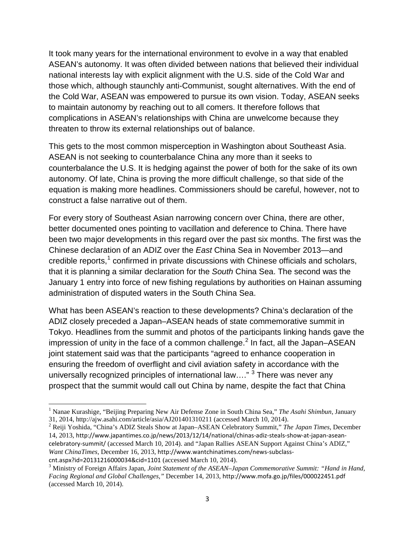It took many years for the international environment to evolve in a way that enabled ASEAN's autonomy. It was often divided between nations that believed their individual national interests lay with explicit alignment with the U.S. side of the Cold War and those which, although staunchly anti-Communist, sought alternatives. With the end of the Cold War, ASEAN was empowered to pursue its own vision. Today, ASEAN seeks to maintain autonomy by reaching out to all comers. It therefore follows that complications in ASEAN's relationships with China are unwelcome because they threaten to throw its external relationships out of balance.

This gets to the most common misperception in Washington about Southeast Asia. ASEAN is not seeking to counterbalance China any more than it seeks to counterbalance the U.S. It is hedging against the power of both for the sake of its own autonomy. Of late, China is proving the more difficult challenge, so that side of the equation is making more headlines. Commissioners should be careful, however, not to construct a false narrative out of them.

For every story of Southeast Asian narrowing concern over China, there are other, better documented ones pointing to vacillation and deference to China. There have been two major developments in this regard over the past six months. The first was the Chinese declaration of an ADIZ over the *East* China Sea in November 2013—and credible reports, $<sup>1</sup>$  $<sup>1</sup>$  $<sup>1</sup>$  confirmed in private discussions with Chinese officials and scholars,</sup> that it is planning a similar declaration for the *South* China Sea. The second was the January 1 entry into force of new fishing regulations by authorities on Hainan assuming administration of disputed waters in the South China Sea.

What has been ASEAN's reaction to these developments? China's declaration of the ADIZ closely preceded a Japan–ASEAN heads of state commemorative summit in Tokyo. Headlines from the summit and photos of the participants linking hands gave the impression of unity in the face of a common challenge. $<sup>2</sup>$  $<sup>2</sup>$  $<sup>2</sup>$  In fact, all the Japan–ASEAN</sup> joint statement said was that the participants "agreed to enhance cooperation in ensuring the freedom of overflight and civil aviation safety in accordance with the universally recognized principles of international law...."  $3$  There was never any prospect that the summit would call out China by name, despite the fact that China

 $\overline{\phantom{a}}$ 

<span id="page-2-0"></span><sup>&</sup>lt;sup>1</sup> Nanae Kurashige, "Beijing Preparing New Air Defense Zone in South China Sea," *The Asahi Shimbun*, January 31, 2014, http://ajw.asahi.com/article/asia/AJ201401310211 (accessed March 10, 2014).

<span id="page-2-1"></span><sup>&</sup>lt;sup>2</sup> Reiji Yoshida, "China's ADIZ Steals Show at Japan–ASEAN Celebratory Summit," *The Japan Times*, December 14, 2013, http://www.japantimes.co.jp/news/2013/12/14/national/chinas-adiz-steals-show-at-japan-aseancelebratory-summit/ (accessed March 10, 2014). and "Japan Rallies ASEAN Support Against China's ADIZ," *Want ChinaTimes*, December 16, 2013, http://www.wantchinatimes.com/news-subclasscnt.aspx?id=20131216000034&cid=1101 (accessed March 10, 2014).<br><sup>3</sup> Ministry of Foreign Affairs Japan, *Joint Statement of the ASEAN–Japan Commemorative Summit: "Hand in Hand*,

<span id="page-2-2"></span>*Facing Regional and Global Challenges,"* December 14, 2013, http://www.mofa.go.jp/files/000022451.pdf (accessed March 10, 2014).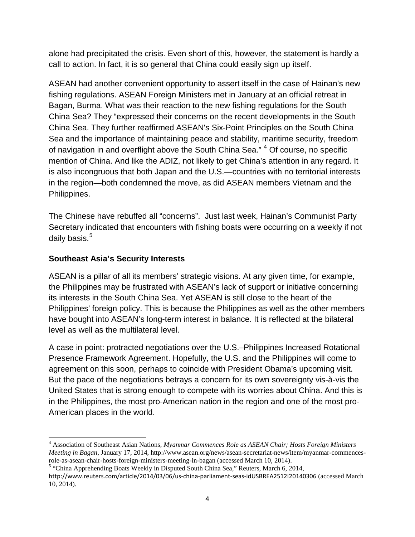alone had precipitated the crisis. Even short of this, however, the statement is hardly a call to action. In fact, it is so general that China could easily sign up itself.

ASEAN had another convenient opportunity to assert itself in the case of Hainan's new fishing regulations. ASEAN Foreign Ministers met in January at an official retreat in Bagan, Burma. What was their reaction to the new fishing regulations for the South China Sea? They "expressed their concerns on the recent developments in the South China Sea. They further reaffirmed ASEAN's Six-Point Principles on the South China Sea and the importance of maintaining peace and stability, maritime security, freedom of navigation in and overflight above the South China Sea." <sup>[4](#page-3-0)</sup> Of course, no specific mention of China. And like the ADIZ, not likely to get China's attention in any regard. It is also incongruous that both Japan and the U.S.—countries with no territorial interests in the region—both condemned the move, as did ASEAN members Vietnam and the Philippines.

The Chinese have rebuffed all "concerns". Just last week, Hainan's Communist Party Secretary indicated that encounters with fishing boats were occurring on a weekly if not daily basis.<sup>[5](#page-3-1)</sup>

### **Southeast Asia's Security Interests**

 $\overline{\phantom{a}}$ 

ASEAN is a pillar of all its members' strategic visions. At any given time, for example, the Philippines may be frustrated with ASEAN's lack of support or initiative concerning its interests in the South China Sea. Yet ASEAN is still close to the heart of the Philippines' foreign policy. This is because the Philippines as well as the other members have bought into ASEAN's long-term interest in balance. It is reflected at the bilateral level as well as the multilateral level.

A case in point: protracted negotiations over the U.S.–Philippines Increased Rotational Presence Framework Agreement. Hopefully, the U.S. and the Philippines will come to agreement on this soon, perhaps to coincide with President Obama's upcoming visit. But the pace of the negotiations betrays a concern for its own sovereignty vis-à-vis the United States that is strong enough to compete with its worries about China. And this is in the Philippines, the most pro-American nation in the region and one of the most pro-American places in the world.

<span id="page-3-0"></span><sup>4</sup> Association of Southeast Asian Nations, *Myanmar Commences Role as ASEAN Chair; Hosts Foreign Ministers Meeting in Bagan*, January 17, 2014, http://www.asean.org/news/asean-secretariat-news/item/myanmar-commencesrole-as-asean-chair-hosts-foreign-ministers-meeting-in-bagan (accessed March 10, 2014). <sup>5</sup> "China Apprehending Boats Weekly in Disputed South China Sea," Reuters, March 6, 2014,

<span id="page-3-1"></span>

http://www.reuters.com/article/2014/03/06/us-china-parliament-seas-idUSBREA2512I20140306 (accessed March 10, 2014).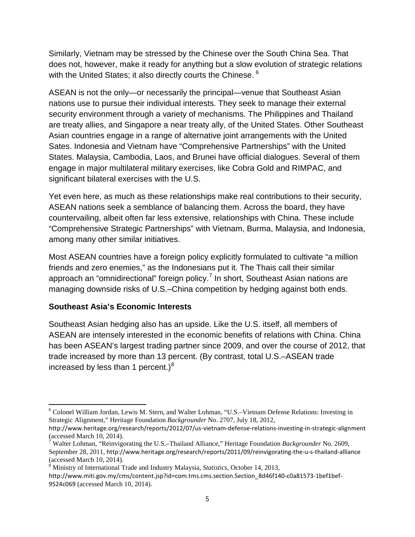Similarly, Vietnam may be stressed by the Chinese over the South China Sea. That does not, however, make it ready for anything but a slow evolution of strategic relations with the United States; it also directly courts the Chinese. <sup>[6](#page-4-0)</sup>

ASEAN is not the only—or necessarily the principal—venue that Southeast Asian nations use to pursue their individual interests. They seek to manage their external security environment through a variety of mechanisms. The Philippines and Thailand are treaty allies, and Singapore a near treaty ally, of the United States. Other Southeast Asian countries engage in a range of alternative joint arrangements with the United Sates. Indonesia and Vietnam have "Comprehensive Partnerships" with the United States. Malaysia, Cambodia, Laos, and Brunei have official dialogues. Several of them engage in major multilateral military exercises, like Cobra Gold and RIMPAC, and significant bilateral exercises with the U.S.

Yet even here, as much as these relationships make real contributions to their security, ASEAN nations seek a semblance of balancing them. Across the board, they have countervailing, albeit often far less extensive, relationships with China. These include "Comprehensive Strategic Partnerships" with Vietnam, Burma, Malaysia, and Indonesia, among many other similar initiatives.

Most ASEAN countries have a foreign policy explicitly formulated to cultivate "a million friends and zero enemies," as the Indonesians put it. The Thais call their similar approach an "omnidirectional" foreign policy.<sup>[7](#page-4-1)</sup> In short, Southeast Asian nations are managing downside risks of U.S.–China competition by hedging against both ends.

#### **Southeast Asia's Economic Interests**

Southeast Asian hedging also has an upside. Like the U.S. itself, all members of ASEAN are intensely interested in the economic benefits of relations with China. China has been ASEAN's largest trading partner since 2009, and over the course of 2012, that trade increased by more than 13 percent. (By contrast, total U.S.–ASEAN trade increased by less than 1 percent.) $8$ 

<span id="page-4-0"></span><sup>6</sup> Colonel William Jordan, Lewis M. Stern, and Walter Lohman, "U.S.–Vietnam Defense Relations: Investing in Strategic Alignment," Heritage Foundation *Backgrounder* No. 2707, July 18, 2012,  $\overline{\phantom{a}}$ 

http://www.heritage.org/research/reports/2012/07/us-vietnam-defense-relations-investing-in-strategic-alignment (accessed March 10, 2014).

<span id="page-4-1"></span><sup>7</sup> Walter Lohman, "Reinvigorating the U.S.–Thailand Alliance," Heritage Foundation *Backgrounder* No. 2609, September 28, 2011, http://www.heritage.org/research/reports/2011/09/reinvigorating-the-u-s-thailand-alliance (accessed March 10, 2014).

<span id="page-4-2"></span><sup>8</sup> Ministry of International Trade and Industry Malaysia, *Statistics*, October 14, 2013, http://www.miti.gov.my/cms/content.jsp?id=com.tms.cms.section.Section\_8d46f140-c0a81573-1bef1bef-9524c069 (accessed March 10, 2014).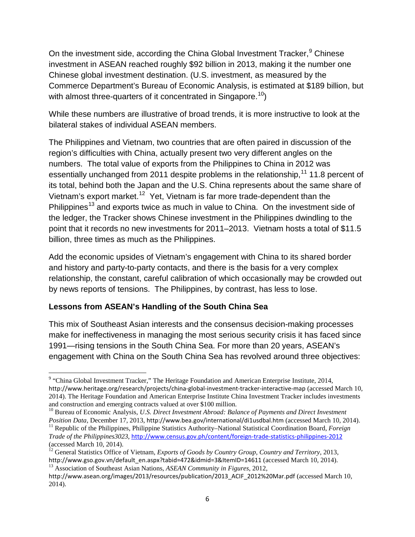On the investment side, according the China Global Investment Tracker, <sup>[9](#page-5-0)</sup> Chinese investment in ASEAN reached roughly \$92 billion in 2013, making it the number one Chinese global investment destination. (U.S. investment, as measured by the Commerce Department's Bureau of Economic Analysis, is estimated at \$189 billion, but with almost three-quarters of it concentrated in Singapore.<sup>10</sup>)

While these numbers are illustrative of broad trends, it is more instructive to look at the bilateral stakes of individual ASEAN members.

The Philippines and Vietnam, two countries that are often paired in discussion of the region's difficulties with China, actually present two very different angles on the numbers. The total value of exports from the Philippines to China in 2012 was essentially unchanged from 20[11](#page-5-2) despite problems in the relationship,<sup>11</sup> 11.8 percent of its total, behind both the Japan and the U.S. China represents about the same share of Vietnam's export market.<sup>[12](#page-5-3)</sup> Yet, Vietnam is far more trade-dependent than the Philippines<sup>[13](#page-5-4)</sup> and exports twice as much in value to China. On the investment side of the ledger, the Tracker shows Chinese investment in the Philippines dwindling to the point that it records no new investments for 2011–2013. Vietnam hosts a total of \$11.5 billion, three times as much as the Philippines.

Add the economic upsides of Vietnam's engagement with China to its shared border and history and party-to-party contacts, and there is the basis for a very complex relationship, the constant, careful calibration of which occasionally may be crowded out by news reports of tensions. The Philippines, by contrast, has less to lose.

#### **Lessons from ASEAN's Handling of the South China Sea**

l

This mix of Southeast Asian interests and the consensus decision-making processes make for ineffectiveness in managing the most serious security crisis it has faced since 1991—rising tensions in the South China Sea. For more than 20 years, ASEAN's engagement with China on the South China Sea has revolved around three objectives:

<span id="page-5-0"></span><sup>&</sup>lt;sup>9</sup> "China Global Investment Tracker," The Heritage Foundation and American Enterprise Institute, 2014, http://www.heritage.org/research/projects/china-global-investment-tracker-interactive-map (accessed March 10, 2014). The Heritage Foundation and American Enterprise Institute China Investment Tracker includes investments and construction and emerging contracts valued at over \$100 million.

<span id="page-5-1"></span><sup>10</sup> Bureau of Economic Analysis, *U.S. Direct Investment Abroad: Balance of Payments and Direct Investment* 

<span id="page-5-2"></span>Position Data, December 17, 2013, http://www.bea.gov/international/di1usdbal.htm (accessed March 10, 2014).<br><sup>11</sup> Republic of the Philippines, Philippine Statistics Authority–National Statistical Coordination Board, *Forei Trade of the Philippines3023*, <http://www.census.gov.ph/content/foreign-trade-statistics-philippines-2012> (accessed March 10, 2014).

<span id="page-5-3"></span><sup>12</sup> General Statistics Office of Vietnam, *Exports of Goods by Country Group, Country and Territory*, 2013, http://www.gso.gov.vn/default\_en.aspx?tabid=472&idmid=3&ItemID=14611 (accessed March 10, 2014). <sup>13</sup> Association of Southeast Asian Nations, *ASEAN Community in Figures*, 2012,

<span id="page-5-4"></span>http://www.asean.org/images/2013/resources/publication/2013\_ACIF\_2012%20Mar.pdf (accessed March 10, 2014).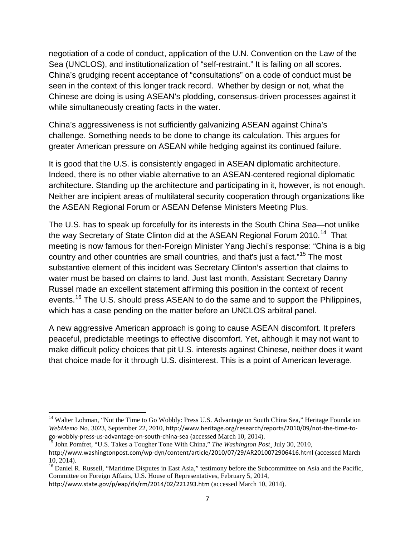negotiation of a code of conduct, application of the U.N. Convention on the Law of the Sea (UNCLOS), and institutionalization of "self-restraint." It is failing on all scores. China's grudging recent acceptance of "consultations" on a code of conduct must be seen in the context of this longer track record. Whether by design or not, what the Chinese are doing is using ASEAN's plodding, consensus-driven processes against it while simultaneously creating facts in the water.

China's aggressiveness is not sufficiently galvanizing ASEAN against China's challenge. Something needs to be done to change its calculation. This argues for greater American pressure on ASEAN while hedging against its continued failure.

It is good that the U.S. is consistently engaged in ASEAN diplomatic architecture. Indeed, there is no other viable alternative to an ASEAN-centered regional diplomatic architecture. Standing up the architecture and participating in it, however, is not enough. Neither are incipient areas of multilateral security cooperation through organizations like the ASEAN Regional Forum or ASEAN Defense Ministers Meeting Plus.

The U.S. has to speak up forcefully for its interests in the South China Sea—not unlike the way Secretary of State Clinton did at the ASEAN Regional Forum 2010.<sup>[14](#page-6-0)</sup> That meeting is now famous for then-Foreign Minister Yang Jiechi's response: "China is a big country and other countries are small countries, and that's just a fact."[15](#page-6-1) The most substantive element of this incident was Secretary Clinton's assertion that claims to water must be based on claims to land. Just last month, Assistant Secretary Danny Russel made an excellent statement affirming this position in the context of recent events.<sup>[16](#page-6-2)</sup> The U.S. should press ASEAN to do the same and to support the Philippines, which has a case pending on the matter before an UNCLOS arbitral panel.

A new aggressive American approach is going to cause ASEAN discomfort. It prefers peaceful, predictable meetings to effective discomfort. Yet, although it may not want to make difficult policy choices that pit U.S. interests against Chinese, neither does it want that choice made for it through U.S. disinterest. This is a point of American leverage.

<span id="page-6-0"></span><sup>&</sup>lt;sup>14</sup> Walter Lohman, "Not the Time to Go Wobbly: Press U.S. Advantage on South China Sea," Heritage Foundation *WebMemo* No. 3023, September 22, 2010, http://www.heritage.org/research/reports/2010/09/not-the-time-togo-wobbly-press-us-advantage-on-south-china-sea (accessed March 10, 2014). <sup>15</sup> John Pomfret, "U.S. Takes a Tougher Tone With China," *The Washington Post*¸ July 30, 2010, l

<span id="page-6-1"></span>

http://www.washingtonpost.com/wp-dyn/content/article/2010/07/29/AR2010072906416.html (accessed March 10, 2014).

<span id="page-6-2"></span><sup>&</sup>lt;sup>16</sup> Daniel R. Russell, "Maritime Disputes in East Asia," testimony before the Subcommittee on Asia and the Pacific, Committee on Foreign Affairs, U.S. House of Representatives, February 5, 2014,

http://www.state.gov/p/eap/rls/rm/2014/02/221293.htm (accessed March 10, 2014).